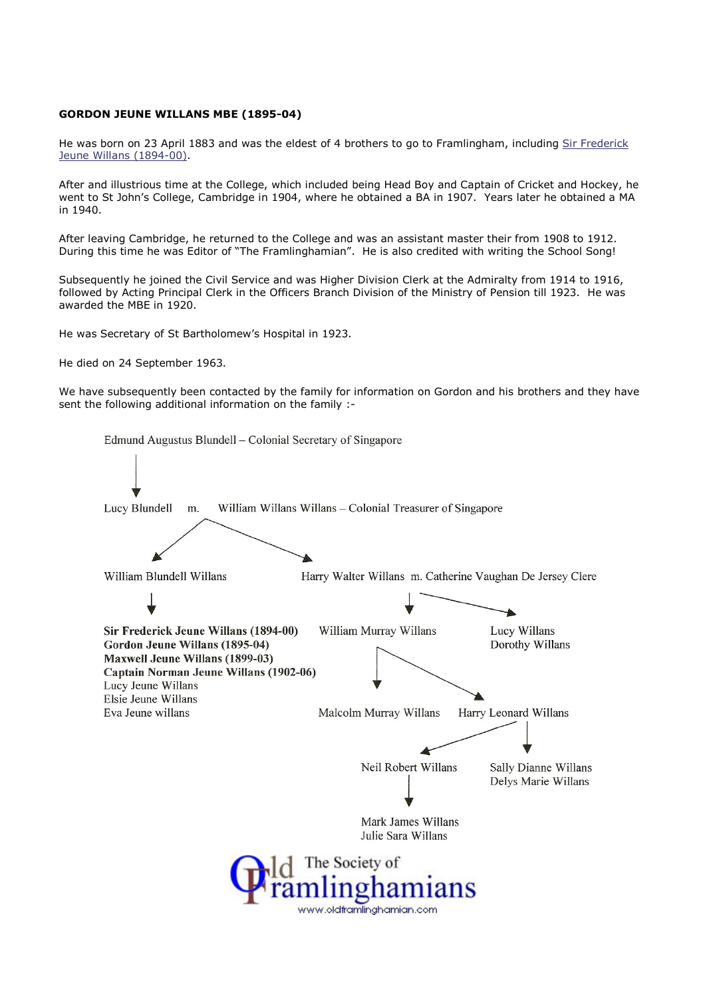## GORDON JEUNE WILLANS MBE (1895-04)

He was born on 23 April 1883 and was the eldest of 4 brothers to go to Framlingham, including Sir Frederick Jeune Willans (1894-00).

After and illustrious time at the College, which included being Head Boy and Captain of Cricket and Hockey, he went to St John's College, Cambridge in 1904, where he obtained a BA in 1907. Years later he obtained a MA in 1940.

After leaving Cambridge, he returned to the College and was an assistant master their from 1908 to 1912. During this time he was Editor of "The Framlinghamian". He is also credited with writing the School Song!

Subsequently he joined the Civil Service and was Higher Division Clerk at the Admiralty from 1914 to 1916, followed by Acting Principal Clerk in the Officers Branch Division of the Ministry of Pension till 1923. He was awarded the MBE in 1920.

He was Secretary of St Bartholomew's Hospital in 1923.

He died on 24 September 1963.

We have subsequently been contacted by the family for information on Gordon and his brothers and they have sent the following additional information on the family :-